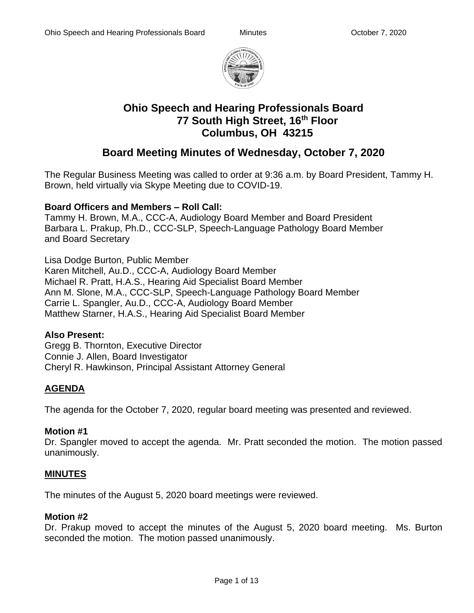

# **Ohio Speech and Hearing Professionals Board 77 South High Street, 16th Floor Columbus, OH 43215**

# **Board Meeting Minutes of Wednesday, October 7, 2020**

The Regular Business Meeting was called to order at 9:36 a.m. by Board President, Tammy H. Brown, held virtually via Skype Meeting due to COVID-19.

## **Board Officers and Members – Roll Call:**

Tammy H. Brown, M.A., CCC-A, Audiology Board Member and Board President Barbara L. Prakup, Ph.D., CCC-SLP, Speech-Language Pathology Board Member and Board Secretary

Lisa Dodge Burton, Public Member Karen Mitchell, Au.D., CCC-A, Audiology Board Member Michael R. Pratt, H.A.S., Hearing Aid Specialist Board Member Ann M. Slone, M.A., CCC-SLP, Speech-Language Pathology Board Member Carrie L. Spangler, Au.D., CCC-A, Audiology Board Member Matthew Starner, H.A.S., Hearing Aid Specialist Board Member

## **Also Present:**

Gregg B. Thornton, Executive Director Connie J. Allen, Board Investigator Cheryl R. Hawkinson, Principal Assistant Attorney General

# **AGENDA**

The agenda for the October 7, 2020, regular board meeting was presented and reviewed.

## **Motion #1**

Dr. Spangler moved to accept the agenda. Mr. Pratt seconded the motion. The motion passed unanimously.

## **MINUTES**

The minutes of the August 5, 2020 board meetings were reviewed.

## **Motion #2**

Dr. Prakup moved to accept the minutes of the August 5, 2020 board meeting. Ms. Burton seconded the motion. The motion passed unanimously.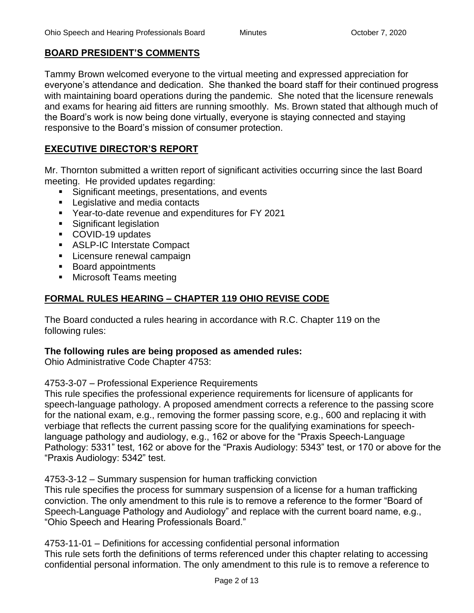## **BOARD PRESIDENT'S COMMENTS**

Tammy Brown welcomed everyone to the virtual meeting and expressed appreciation for everyone's attendance and dedication. She thanked the board staff for their continued progress with maintaining board operations during the pandemic. She noted that the licensure renewals and exams for hearing aid fitters are running smoothly. Ms. Brown stated that although much of the Board's work is now being done virtually, everyone is staying connected and staying responsive to the Board's mission of consumer protection.

## **EXECUTIVE DIRECTOR'S REPORT**

Mr. Thornton submitted a written report of significant activities occurring since the last Board meeting. He provided updates regarding:

- Significant meetings, presentations, and events
- Legislative and media contacts
- Year-to-date revenue and expenditures for FY 2021
- Significant legislation
- COVID-19 updates
- ASLP-IC Interstate Compact
- **EXEC** Licensure renewal campaign
- Board appointments
- Microsoft Teams meeting

## **FORMAL RULES HEARING – CHAPTER 119 OHIO REVISE CODE**

The Board conducted a rules hearing in accordance with R.C. Chapter 119 on the following rules:

## **The following rules are being proposed as amended rules:**

Ohio Administrative Code Chapter 4753:

4753-3-07 – Professional Experience Requirements

This rule specifies the professional experience requirements for licensure of applicants for speech-language pathology. A proposed amendment corrects a reference to the passing score for the national exam, e.g., removing the former passing score, e.g., 600 and replacing it with verbiage that reflects the current passing score for the qualifying examinations for speechlanguage pathology and audiology, e.g., 162 or above for the "Praxis Speech-Language Pathology: 5331" test, 162 or above for the "Praxis Audiology: 5343" test, or 170 or above for the "Praxis Audiology: 5342" test.

4753-3-12 – Summary suspension for human trafficking conviction

This rule specifies the process for summary suspension of a license for a human trafficking conviction. The only amendment to this rule is to remove a reference to the former "Board of Speech-Language Pathology and Audiology" and replace with the current board name, e.g., "Ohio Speech and Hearing Professionals Board."

4753-11-01 – Definitions for accessing confidential personal information This rule sets forth the definitions of terms referenced under this chapter relating to accessing confidential personal information. The only amendment to this rule is to remove a reference to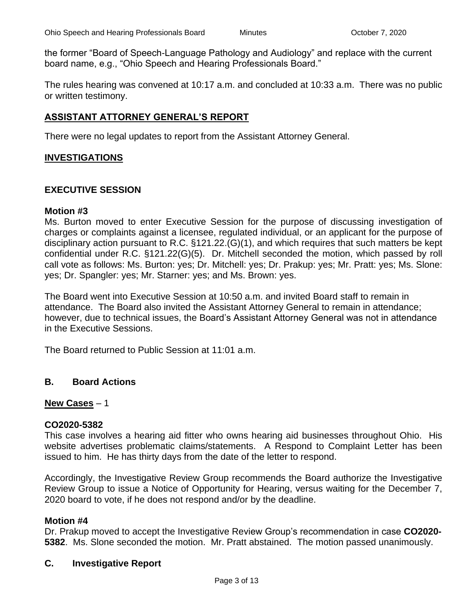the former "Board of Speech-Language Pathology and Audiology" and replace with the current board name, e.g., "Ohio Speech and Hearing Professionals Board."

The rules hearing was convened at 10:17 a.m. and concluded at 10:33 a.m. There was no public or written testimony.

## **ASSISTANT ATTORNEY GENERAL'S REPORT**

There were no legal updates to report from the Assistant Attorney General.

### **INVESTIGATIONS**

## **EXECUTIVE SESSION**

#### **Motion #3**

Ms. Burton moved to enter Executive Session for the purpose of discussing investigation of charges or complaints against a licensee, regulated individual, or an applicant for the purpose of disciplinary action pursuant to R.C. §121.22.(G)(1), and which requires that such matters be kept confidential under R.C. §121.22(G)(5). Dr. Mitchell seconded the motion, which passed by roll call vote as follows: Ms. Burton: yes; Dr. Mitchell: yes; Dr. Prakup: yes; Mr. Pratt: yes; Ms. Slone: yes; Dr. Spangler: yes; Mr. Starner: yes; and Ms. Brown: yes.

The Board went into Executive Session at 10:50 a.m. and invited Board staff to remain in attendance. The Board also invited the Assistant Attorney General to remain in attendance; however, due to technical issues, the Board's Assistant Attorney General was not in attendance in the Executive Sessions.

The Board returned to Public Session at 11:01 a.m.

#### **B. Board Actions**

#### **New Cases** – 1

#### **CO2020-5382**

This case involves a hearing aid fitter who owns hearing aid businesses throughout Ohio. His website advertises problematic claims/statements. A Respond to Complaint Letter has been issued to him. He has thirty days from the date of the letter to respond.

Accordingly, the Investigative Review Group recommends the Board authorize the Investigative Review Group to issue a Notice of Opportunity for Hearing, versus waiting for the December 7, 2020 board to vote, if he does not respond and/or by the deadline.

#### **Motion #4**

Dr. Prakup moved to accept the Investigative Review Group's recommendation in case **CO2020- 5382**. Ms. Slone seconded the motion. Mr. Pratt abstained. The motion passed unanimously.

#### **C. Investigative Report**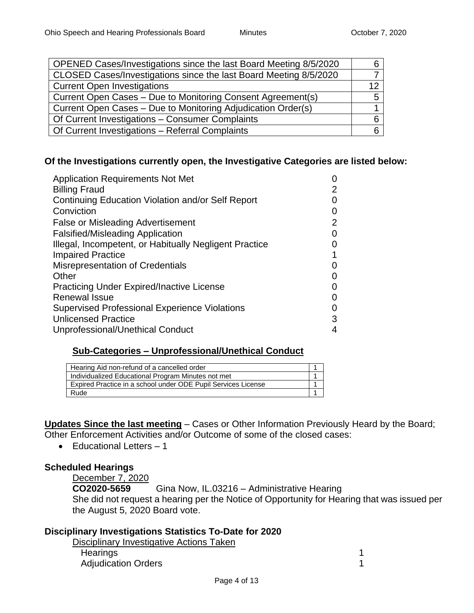| OPENED Cases/Investigations since the last Board Meeting 8/5/2020 |    |
|-------------------------------------------------------------------|----|
| CLOSED Cases/Investigations since the last Board Meeting 8/5/2020 |    |
| <b>Current Open Investigations</b>                                | 12 |
| Current Open Cases – Due to Monitoring Consent Agreement(s)       | 5  |
| Current Open Cases – Due to Monitoring Adjudication Order(s)      |    |
| Of Current Investigations - Consumer Complaints                   |    |
| Of Current Investigations - Referral Complaints                   |    |

## **Of the Investigations currently open, the Investigative Categories are listed below:**

| <b>Application Requirements Not Met</b>                |   |
|--------------------------------------------------------|---|
| <b>Billing Fraud</b>                                   | 2 |
| Continuing Education Violation and/or Self Report      |   |
| Conviction                                             |   |
| <b>False or Misleading Advertisement</b>               | 2 |
| <b>Falsified/Misleading Application</b>                |   |
| Illegal, Incompetent, or Habitually Negligent Practice |   |
| <b>Impaired Practice</b>                               |   |
| Misrepresentation of Credentials                       |   |
| Other                                                  |   |
| <b>Practicing Under Expired/Inactive License</b>       |   |
| <b>Renewal Issue</b>                                   |   |
| <b>Supervised Professional Experience Violations</b>   |   |
| <b>Unlicensed Practice</b>                             | 3 |
| Unprofessional/Unethical Conduct                       |   |

#### **Sub-Categories – Unprofessional/Unethical Conduct**

| Hearing Aid non-refund of a cancelled order                   |  |
|---------------------------------------------------------------|--|
| Individualized Educational Program Minutes not met            |  |
| Expired Practice in a school under ODE Pupil Services License |  |
| Rude                                                          |  |

**Updates Since the last meeting** – Cases or Other Information Previously Heard by the Board; Other Enforcement Activities and/or Outcome of some of the closed cases:

• Educational Letters – 1

## **Scheduled Hearings**

December 7, 2020<br>CO2020-5659 Gina Now, IL.03216 – Administrative Hearing She did not request a hearing per the Notice of Opportunity for Hearing that was issued per the August 5, 2020 Board vote.

## **Disciplinary Investigations Statistics To-Date for 2020**

Disciplinary Investigative Actions Taken Hearings 1 Adjudication Orders 1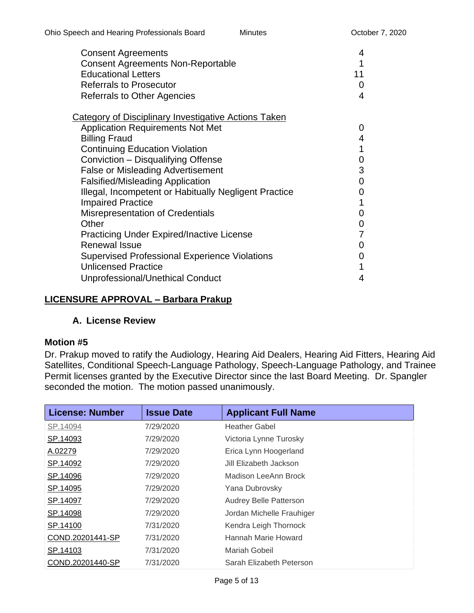| <b>Consent Agreements</b><br><b>Consent Agreements Non-Reportable</b> | 4<br>1        |
|-----------------------------------------------------------------------|---------------|
| <b>Educational Letters</b>                                            | 11            |
| <b>Referrals to Prosecutor</b>                                        | 0             |
| <b>Referrals to Other Agencies</b>                                    | 4             |
| <b>Category of Disciplinary Investigative Actions Taken</b>           |               |
| <b>Application Requirements Not Met</b>                               | $\mathcal{L}$ |
| <b>Billing Fraud</b>                                                  | 4             |
| <b>Continuing Education Violation</b>                                 | 1             |
| Conviction - Disqualifying Offense                                    | 0             |
| <b>False or Misleading Advertisement</b>                              | 3             |
| <b>Falsified/Misleading Application</b>                               | 0             |
| Illegal, Incompetent or Habitually Negligent Practice                 | 0             |
| <b>Impaired Practice</b>                                              |               |
| <b>Misrepresentation of Credentials</b>                               | 0             |
| Other                                                                 | 0             |
| <b>Practicing Under Expired/Inactive License</b>                      |               |
| <b>Renewal Issue</b>                                                  |               |
| <b>Supervised Professional Experience Violations</b>                  | 0             |
| <b>Unlicensed Practice</b>                                            |               |
| Unprofessional/Unethical Conduct                                      | 4             |

## **LICENSURE APPROVAL – Barbara Prakup**

## **A. License Review**

## **Motion #5**

Dr. Prakup moved to ratify the Audiology, Hearing Aid Dealers, Hearing Aid Fitters, Hearing Aid Satellites, Conditional Speech-Language Pathology, Speech-Language Pathology, and Trainee Permit licenses granted by the Executive Director since the last Board Meeting. Dr. Spangler seconded the motion. The motion passed unanimously.

| <b>License: Number</b> | <b>Issue Date</b> | <b>Applicant Full Name</b>    |
|------------------------|-------------------|-------------------------------|
| SP.14094               | 7/29/2020         | <b>Heather Gabel</b>          |
| SP.14093               | 7/29/2020         | Victoria Lynne Turosky        |
| A.02279                | 7/29/2020         | Erica Lynn Hoogerland         |
| SP.14092               | 7/29/2020         | Jill Elizabeth Jackson        |
| SP.14096               | 7/29/2020         | Madison LeeAnn Brock          |
| SP.14095               | 7/29/2020         | Yana Dubrovsky                |
| SP.14097               | 7/29/2020         | <b>Audrey Belle Patterson</b> |
| SP.14098               | 7/29/2020         | Jordan Michelle Frauhiger     |
| SP.14100               | 7/31/2020         | Kendra Leigh Thornock         |
| COND.20201441-SP       | 7/31/2020         | Hannah Marie Howard           |
| SP.14103               | 7/31/2020         | Mariah Gobeil                 |
| COND.20201440-SP       | 7/31/2020         | Sarah Elizabeth Peterson      |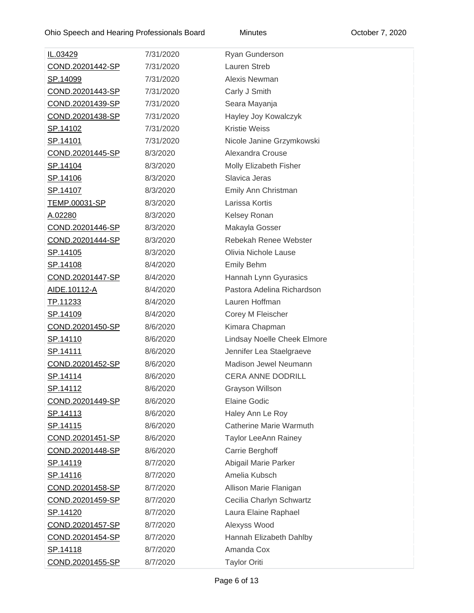| IL.03429                | 7/31/2020 | Ryan Gunderson              |
|-------------------------|-----------|-----------------------------|
| COND.20201442-SP        | 7/31/2020 | Lauren Streb                |
| SP.14099                | 7/31/2020 | Alexis Newman               |
| COND.20201443-SP        | 7/31/2020 | Carly J Smith               |
| COND.20201439-SP        | 7/31/2020 | Seara Mayanja               |
| COND.20201438-SP        | 7/31/2020 | Hayley Joy Kowalczyk        |
| SP.14102                | 7/31/2020 | <b>Kristie Weiss</b>        |
| SP.14101                | 7/31/2020 | Nicole Janine Grzymkowski   |
| COND.20201445-SP        | 8/3/2020  | Alexandra Crouse            |
| SP.14104                | 8/3/2020  | Molly Elizabeth Fisher      |
| <u>SP.14106</u>         | 8/3/2020  | Slavica Jeras               |
| <u>SP.14107</u>         | 8/3/2020  | Emily Ann Christman         |
| TEMP.00031-SP           | 8/3/2020  | Larissa Kortis              |
| A.02280                 | 8/3/2020  | Kelsey Ronan                |
| <u>COND.20201446-SP</u> | 8/3/2020  | Makayla Gosser              |
| COND.20201444-SP        | 8/3/2020  | Rebekah Renee Webster       |
| <u>SP.14105</u>         | 8/3/2020  | Olivia Nichole Lause        |
| <u>SP.14108</u>         | 8/4/2020  | <b>Emily Behm</b>           |
| COND.20201447-SP        | 8/4/2020  | Hannah Lynn Gyurasics       |
| AIDE.10112-A            | 8/4/2020  | Pastora Adelina Richardson  |
| TP.11233                | 8/4/2020  | Lauren Hoffman              |
| SP.14109                | 8/4/2020  | Corey M Fleischer           |
| COND.20201450-SP        | 8/6/2020  | Kimara Chapman              |
| <u>SP.14110</u>         | 8/6/2020  | Lindsay Noelle Cheek Elmore |
| <u>SP.14111</u>         | 8/6/2020  | Jennifer Lea Staelgraeve    |
| COND.20201452-SP        | 8/6/2020  | Madison Jewel Neumann       |
| <u>SP.14114</u>         | 8/6/2020  | <b>CERA ANNE DODRILL</b>    |
| <u>SP.14112</u>         | 8/6/2020  | <b>Grayson Willson</b>      |
| COND.20201449-SP        | 8/6/2020  | <b>Elaine Godic</b>         |
| <u>SP.14113</u>         | 8/6/2020  | Haley Ann Le Roy            |
| <u>SP.14115</u>         | 8/6/2020  | Catherine Marie Warmuth     |
| COND.20201451-SP        | 8/6/2020  | <b>Taylor LeeAnn Rainey</b> |
| COND.20201448-SP        | 8/6/2020  | Carrie Berghoff             |
| <u>SP.14119</u>         | 8/7/2020  | Abigail Marie Parker        |
| <u>SP.14116</u>         | 8/7/2020  | Amelia Kubsch               |
| COND.20201458-SP        | 8/7/2020  | Allison Marie Flanigan      |
| COND.20201459-SP        | 8/7/2020  | Cecilia Charlyn Schwartz    |
| <u>SP.14120</u>         | 8/7/2020  | Laura Elaine Raphael        |
| COND.20201457-SP        | 8/7/2020  | Alexyss Wood                |
| COND.20201454-SP        | 8/7/2020  | Hannah Elizabeth Dahlby     |
| <u>SP.14118</u>         | 8/7/2020  | Amanda Cox                  |
| COND.20201455-SP        | 8/7/2020  | <b>Taylor Oriti</b>         |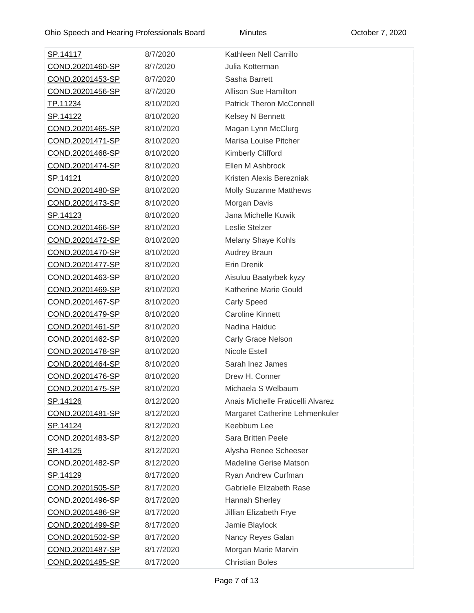| <u>SP.14117</u>  | 8/7/2020  | Kathleen Nell Carrillo            |
|------------------|-----------|-----------------------------------|
| COND.20201460-SP | 8/7/2020  | Julia Kotterman                   |
| COND.20201453-SP | 8/7/2020  | Sasha Barrett                     |
| COND.20201456-SP | 8/7/2020  | <b>Allison Sue Hamilton</b>       |
| TP.11234         | 8/10/2020 | <b>Patrick Theron McConnell</b>   |
| SP.14122         | 8/10/2020 | Kelsey N Bennett                  |
| COND.20201465-SP | 8/10/2020 | Magan Lynn McClurg                |
| COND.20201471-SP | 8/10/2020 | Marisa Louise Pitcher             |
| COND.20201468-SP | 8/10/2020 | <b>Kimberly Clifford</b>          |
| COND.20201474-SP | 8/10/2020 | Ellen M Ashbrock                  |
| <u>SP.14121</u>  | 8/10/2020 | Kristen Alexis Berezniak          |
| COND.20201480-SP | 8/10/2020 | <b>Molly Suzanne Matthews</b>     |
| COND.20201473-SP | 8/10/2020 | Morgan Davis                      |
| <u>SP.14123</u>  | 8/10/2020 | Jana Michelle Kuwik               |
| COND.20201466-SP | 8/10/2020 | Leslie Stelzer                    |
| COND.20201472-SP | 8/10/2020 | Melany Shaye Kohls                |
| COND.20201470-SP | 8/10/2020 | <b>Audrey Braun</b>               |
| COND.20201477-SP | 8/10/2020 | Erin Drenik                       |
| COND.20201463-SP | 8/10/2020 | Aisuluu Baatyrbek kyzy            |
| COND.20201469-SP | 8/10/2020 | Katherine Marie Gould             |
| COND.20201467-SP | 8/10/2020 | <b>Carly Speed</b>                |
| COND.20201479-SP | 8/10/2020 | <b>Caroline Kinnett</b>           |
| COND.20201461-SP | 8/10/2020 | Nadina Haiduc                     |
| COND.20201462-SP | 8/10/2020 | Carly Grace Nelson                |
| COND.20201478-SP | 8/10/2020 | Nicole Estell                     |
| COND.20201464-SP | 8/10/2020 | Sarah Inez James                  |
| COND.20201476-SP | 8/10/2020 | Drew H. Conner                    |
| COND.20201475-SP | 8/10/2020 | Michaela S Welbaum                |
| <u>SP.14126</u>  | 8/12/2020 | Anais Michelle Fraticelli Alvarez |
| COND.20201481-SP | 8/12/2020 | Margaret Catherine Lehmenkuler    |
| <u>SP.14124</u>  | 8/12/2020 | Keebbum Lee                       |
| COND.20201483-SP | 8/12/2020 | <b>Sara Britten Peele</b>         |
| SP.14125         | 8/12/2020 | Alysha Renee Scheeser             |
| COND.20201482-SP | 8/12/2020 | <b>Madeline Gerise Matson</b>     |
| <u>SP.14129</u>  | 8/17/2020 | Ryan Andrew Curfman               |
| COND.20201505-SP | 8/17/2020 | Gabrielle Elizabeth Rase          |
| COND.20201496-SP | 8/17/2020 | Hannah Sherley                    |
| COND.20201486-SP | 8/17/2020 | Jillian Elizabeth Frye            |
| COND.20201499-SP | 8/17/2020 | Jamie Blaylock                    |
| COND.20201502-SP | 8/17/2020 | Nancy Reyes Galan                 |
| COND.20201487-SP | 8/17/2020 | Morgan Marie Marvin               |
| COND.20201485-SP | 8/17/2020 | <b>Christian Boles</b>            |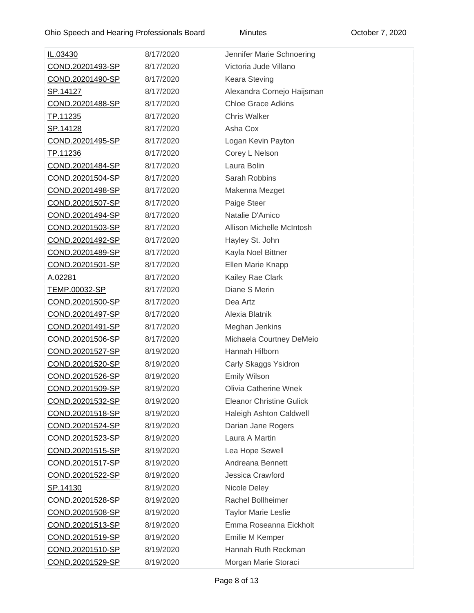| IL.03430             | 8/17/2020 | Jennifer Marie Schnoering       |
|----------------------|-----------|---------------------------------|
| COND.20201493-SP     | 8/17/2020 | Victoria Jude Villano           |
| COND.20201490-SP     | 8/17/2020 | <b>Keara Steving</b>            |
| SP.14127             | 8/17/2020 | Alexandra Cornejo Haijsman      |
| COND.20201488-SP     | 8/17/2020 | <b>Chloe Grace Adkins</b>       |
| TP.11235             | 8/17/2020 | <b>Chris Walker</b>             |
| SP.14128             | 8/17/2020 | Asha Cox                        |
| COND.20201495-SP     | 8/17/2020 | Logan Kevin Payton              |
| TP.11236             | 8/17/2020 | Corey L Nelson                  |
| COND.20201484-SP     | 8/17/2020 | Laura Bolin                     |
| COND.20201504-SP     | 8/17/2020 | Sarah Robbins                   |
| COND.20201498-SP     | 8/17/2020 | Makenna Mezget                  |
| COND.20201507-SP     | 8/17/2020 | Paige Steer                     |
| COND.20201494-SP     | 8/17/2020 | Natalie D'Amico                 |
| COND.20201503-SP     | 8/17/2020 | Allison Michelle McIntosh       |
| COND.20201492-SP     | 8/17/2020 | Hayley St. John                 |
| COND.20201489-SP     | 8/17/2020 | Kayla Noel Bittner              |
| COND.20201501-SP     | 8/17/2020 | Ellen Marie Knapp               |
| A.02281              | 8/17/2020 | Kailey Rae Clark                |
| <u>TEMP.00032-SP</u> | 8/17/2020 | Diane S Merin                   |
| COND.20201500-SP     | 8/17/2020 | Dea Artz                        |
| COND.20201497-SP     | 8/17/2020 | Alexia Blatnik                  |
| COND.20201491-SP     | 8/17/2020 | Meghan Jenkins                  |
| COND.20201506-SP     | 8/17/2020 | Michaela Courtney DeMeio        |
| COND.20201527-SP     | 8/19/2020 | Hannah Hilborn                  |
| COND.20201520-SP     | 8/19/2020 | Carly Skaggs Ysidron            |
| COND.20201526-SP     | 8/19/2020 | <b>Emily Wilson</b>             |
| COND.20201509-SP     | 8/19/2020 | <b>Olivia Catherine Wnek</b>    |
| COND.20201532-SP     | 8/19/2020 | <b>Eleanor Christine Gulick</b> |
| COND.20201518-SP     | 8/19/2020 | Haleigh Ashton Caldwell         |
| COND.20201524-SP     | 8/19/2020 | Darian Jane Rogers              |
| COND.20201523-SP     | 8/19/2020 | Laura A Martin                  |
| COND.20201515-SP     | 8/19/2020 | Lea Hope Sewell                 |
| COND.20201517-SP     | 8/19/2020 | Andreana Bennett                |
| COND.20201522-SP     | 8/19/2020 | Jessica Crawford                |
| SP.14130             | 8/19/2020 | Nicole Deley                    |
| COND.20201528-SP     | 8/19/2020 | Rachel Bollheimer               |
| COND.20201508-SP     | 8/19/2020 | <b>Taylor Marie Leslie</b>      |
| COND.20201513-SP     | 8/19/2020 | Emma Roseanna Eickholt          |
| COND.20201519-SP     | 8/19/2020 | Emilie M Kemper                 |
| COND.20201510-SP     | 8/19/2020 | Hannah Ruth Reckman             |
| COND.20201529-SP     | 8/19/2020 | Morgan Marie Storaci            |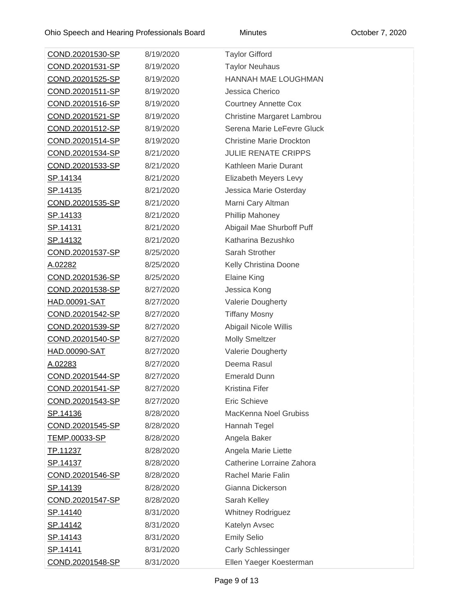| COND.20201530-SP        | 8/19/2020 | <b>Taylor Gifford</b>           |
|-------------------------|-----------|---------------------------------|
| COND.20201531-SP        | 8/19/2020 | <b>Taylor Neuhaus</b>           |
| COND.20201525-SP        | 8/19/2020 | <b>HANNAH MAE LOUGHMAN</b>      |
| <u>COND.20201511-SP</u> | 8/19/2020 | Jessica Cherico                 |
| COND.20201516-SP        | 8/19/2020 | <b>Courtney Annette Cox</b>     |
| COND.20201521-SP        | 8/19/2020 | Christine Margaret Lambrou      |
| COND.20201512-SP        | 8/19/2020 | Serena Marie LeFevre Gluck      |
| <u>COND.20201514-SP</u> | 8/19/2020 | <b>Christine Marie Drockton</b> |
| <u>COND.20201534-SP</u> | 8/21/2020 | <b>JULIE RENATE CRIPPS</b>      |
| COND.20201533-SP        | 8/21/2020 | Kathleen Marie Durant           |
| <u>SP.14134</u>         | 8/21/2020 | Elizabeth Meyers Levy           |
| <u>SP.14135</u>         | 8/21/2020 | Jessica Marie Osterday          |
| COND.20201535-SP        | 8/21/2020 | Marni Cary Altman               |
| <u>SP.14133</u>         | 8/21/2020 | Phillip Mahoney                 |
| <u>SP.14131</u>         | 8/21/2020 | Abigail Mae Shurboff Puff       |
| <u>SP.14132</u>         | 8/21/2020 | Katharina Bezushko              |
| COND.20201537-SP        | 8/25/2020 | Sarah Strother                  |
| A.02282                 | 8/25/2020 | Kelly Christina Doone           |
| COND.20201536-SP        | 8/25/2020 | <b>Elaine King</b>              |
| COND.20201538-SP        | 8/27/2020 | Jessica Kong                    |
| <u>HAD.00091-SAT</u>    | 8/27/2020 | <b>Valerie Dougherty</b>        |
| COND.20201542-SP        | 8/27/2020 | <b>Tiffany Mosny</b>            |
| COND.20201539-SP        | 8/27/2020 | Abigail Nicole Willis           |
| COND.20201540-SP        | 8/27/2020 | <b>Molly Smeltzer</b>           |
| HAD.00090-SAT           | 8/27/2020 | <b>Valerie Dougherty</b>        |
| A.02283                 | 8/27/2020 | Deema Rasul                     |
| <u>COND.20201544-SP</u> | 8/27/2020 | <b>Emerald Dunn</b>             |
| <u>COND.20201541-SP</u> | 8/27/2020 | Kristina Fifer                  |
| <u>COND.20201543-SP</u> | 8/27/2020 | <b>Eric Schieve</b>             |
| SP.14136                | 8/28/2020 | MacKenna Noel Grubiss           |
| <u>COND.20201545-SP</u> | 8/28/2020 | Hannah Tegel                    |
| <u>TEMP.00033-SP</u>    | 8/28/2020 | Angela Baker                    |
| TP.11237                | 8/28/2020 | Angela Marie Liette             |
| <u>SP.14137</u>         | 8/28/2020 | Catherine Lorraine Zahora       |
| <u>COND.20201546-SP</u> | 8/28/2020 | <b>Rachel Marie Falin</b>       |
| <u>SP.14139</u>         | 8/28/2020 | Gianna Dickerson                |
| <u>COND.20201547-SP</u> | 8/28/2020 | Sarah Kelley                    |
| SP.14140                | 8/31/2020 | <b>Whitney Rodriguez</b>        |
| <u>SP.14142</u>         | 8/31/2020 | Katelyn Avsec                   |
| <u>SP.14143</u>         | 8/31/2020 | <b>Emily Selio</b>              |
| <u>SP.14141</u>         | 8/31/2020 | <b>Carly Schlessinger</b>       |
| <u>COND.20201548-SP</u> | 8/31/2020 | Ellen Yaeger Koesterman         |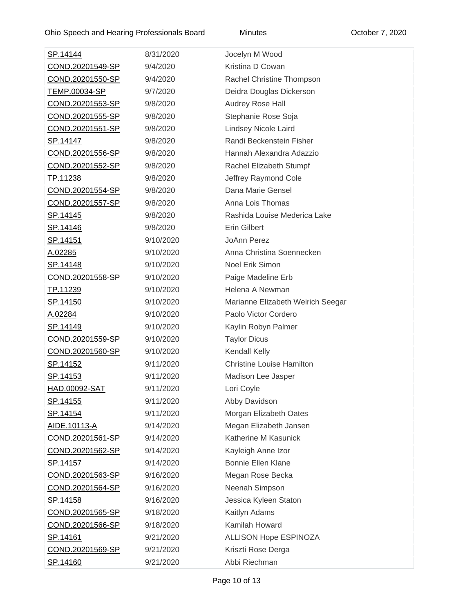| <u>SP.14144</u>         | 8/31/2020 | Jocelyn M Wood                    |
|-------------------------|-----------|-----------------------------------|
| COND.20201549-SP        | 9/4/2020  | Kristina D Cowan                  |
| COND.20201550-SP        | 9/4/2020  | Rachel Christine Thompson         |
| TEMP.00034-SP           | 9/7/2020  | Deidra Douglas Dickerson          |
| COND.20201553-SP        | 9/8/2020  | Audrey Rose Hall                  |
| COND.20201555-SP        | 9/8/2020  | Stephanie Rose Soja               |
| COND.20201551-SP        | 9/8/2020  | Lindsey Nicole Laird              |
| SP.14147                | 9/8/2020  | Randi Beckenstein Fisher          |
| <u>COND.20201556-SP</u> | 9/8/2020  | Hannah Alexandra Adazzio          |
| COND.20201552-SP        | 9/8/2020  | Rachel Elizabeth Stumpf           |
| <u>TP.11238</u>         | 9/8/2020  | Jeffrey Raymond Cole              |
| COND.20201554-SP        | 9/8/2020  | Dana Marie Gensel                 |
| COND.20201557-SP        | 9/8/2020  | Anna Lois Thomas                  |
| SP.14145                | 9/8/2020  | Rashida Louise Mederica Lake      |
| <u>SP.14146</u>         | 9/8/2020  | <b>Erin Gilbert</b>               |
| <u>SP.14151</u>         | 9/10/2020 | JoAnn Perez                       |
| A.02285                 | 9/10/2020 | Anna Christina Soennecken         |
| <u>SP.14148</u>         | 9/10/2020 | Noel Erik Simon                   |
| COND.20201558-SP        | 9/10/2020 | Paige Madeline Erb                |
| TP.11239                | 9/10/2020 | Helena A Newman                   |
| <u>SP.14150</u>         | 9/10/2020 | Marianne Elizabeth Weirich Seegar |
| <u>A.02284</u>          | 9/10/2020 | Paolo Victor Cordero              |
| <u>SP.14149</u>         | 9/10/2020 | Kaylin Robyn Palmer               |
| COND.20201559-SP        | 9/10/2020 | <b>Taylor Dicus</b>               |
| COND.20201560-SP        | 9/10/2020 | Kendall Kelly                     |
| <u>SP.14152</u>         | 9/11/2020 | <b>Christine Louise Hamilton</b>  |
| <u>SP.14153</u>         | 9/11/2020 | Madison Lee Jasper                |
| <u>HAD.00092-SAT</u>    | 9/11/2020 | Lori Coyle                        |
| <u>SP.14155</u>         | 9/11/2020 | Abby Davidson                     |
| SP.14154                | 9/11/2020 | Morgan Elizabeth Oates            |
| <u>AIDE.10113-A</u>     | 9/14/2020 | Megan Elizabeth Jansen            |
| COND.20201561-SP        | 9/14/2020 | Katherine M Kasunick              |
| COND.20201562-SP        | 9/14/2020 | Kayleigh Anne Izor                |
| SP.14157                | 9/14/2020 | <b>Bonnie Ellen Klane</b>         |
| COND.20201563-SP        | 9/16/2020 | Megan Rose Becka                  |
| COND.20201564-SP        | 9/16/2020 | Neenah Simpson                    |
| <u>SP.14158</u>         | 9/16/2020 | Jessica Kyleen Staton             |
| COND.20201565-SP        | 9/18/2020 | Kaitlyn Adams                     |
| COND.20201566-SP        | 9/18/2020 | Kamilah Howard                    |
| <u>SP.14161</u>         | 9/21/2020 | <b>ALLISON Hope ESPINOZA</b>      |
| COND.20201569-SP        | 9/21/2020 | Kriszti Rose Derga                |
| <u>SP.14160</u>         | 9/21/2020 | Abbi Riechman                     |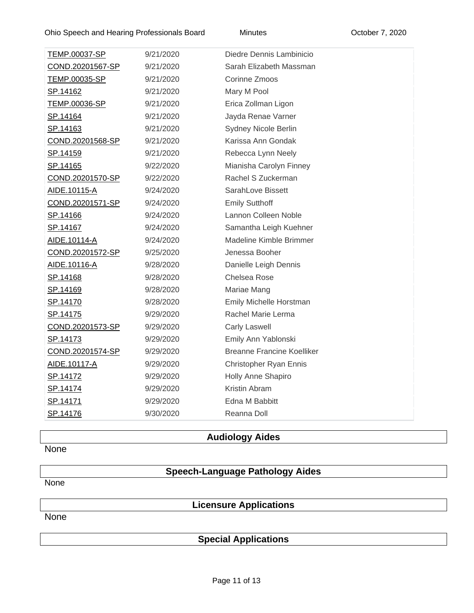| TEMP.00037-SP    | 9/21/2020 | Diedre Dennis Lambinicio          |
|------------------|-----------|-----------------------------------|
| COND.20201567-SP | 9/21/2020 | Sarah Elizabeth Massman           |
| TEMP.00035-SP    | 9/21/2020 | Corinne Zmoos                     |
| SP.14162         | 9/21/2020 | Mary M Pool                       |
| TEMP.00036-SP    | 9/21/2020 | Erica Zollman Ligon               |
| SP.14164         | 9/21/2020 | Jayda Renae Varner                |
| SP.14163         | 9/21/2020 | Sydney Nicole Berlin              |
| COND.20201568-SP | 9/21/2020 | Karissa Ann Gondak                |
| SP.14159         | 9/21/2020 | Rebecca Lynn Neely                |
| <u>SP.14165</u>  | 9/22/2020 | Mianisha Carolyn Finney           |
| COND.20201570-SP | 9/22/2020 | Rachel S Zuckerman                |
| AIDE.10115-A     | 9/24/2020 | SarahLove Bissett                 |
| COND.20201571-SP | 9/24/2020 | <b>Emily Sutthoff</b>             |
| <u>SP.14166</u>  | 9/24/2020 | Lannon Colleen Noble              |
| SP.14167         | 9/24/2020 | Samantha Leigh Kuehner            |
| AIDE.10114-A     | 9/24/2020 | Madeline Kimble Brimmer           |
| COND.20201572-SP | 9/25/2020 | Jenessa Booher                    |
| AIDE.10116-A     | 9/28/2020 | Danielle Leigh Dennis             |
| <u>SP.14168</u>  | 9/28/2020 | <b>Chelsea Rose</b>               |
| SP.14169         | 9/28/2020 | Mariae Mang                       |
| SP.14170         | 9/28/2020 | Emily Michelle Horstman           |
| <u>SP.14175</u>  | 9/29/2020 | Rachel Marie Lerma                |
| COND.20201573-SP | 9/29/2020 | <b>Carly Laswell</b>              |
| SP.14173         | 9/29/2020 | Emily Ann Yablonski               |
| COND.20201574-SP | 9/29/2020 | <b>Breanne Francine Koelliker</b> |
| AIDE.10117-A     | 9/29/2020 | Christopher Ryan Ennis            |
| SP.14172         | 9/29/2020 | Holly Anne Shapiro                |
| <u>SP.14174</u>  | 9/29/2020 | Kristin Abram                     |
| <u>SP.14171</u>  | 9/29/2020 | Edna M Babbitt                    |
| <u>SP.14176</u>  | 9/30/2020 | Reanna Doll                       |
|                  |           |                                   |

# **Audiology Aides**

None

# **Speech-Language Pathology Aides**

None

# **Licensure Applications**

None

# **Special Applications**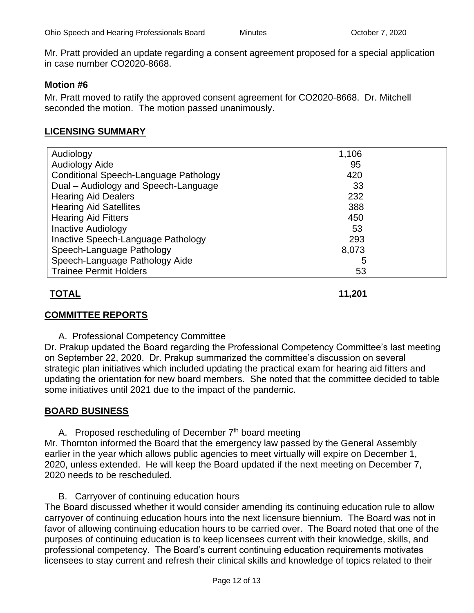Mr. Pratt provided an update regarding a consent agreement proposed for a special application in case number CO2020-8668.

## **Motion #6**

Mr. Pratt moved to ratify the approved consent agreement for [CO2020-8668.](https://elicenseohio.my.salesforce.com/a0Ct00000034UVK?srPos=0&srKp=a0C) Dr. Mitchell seconded the motion. The motion passed unanimously.

## **LICENSING SUMMARY**

| Audiology                             | 1,106 |  |
|---------------------------------------|-------|--|
| <b>Audiology Aide</b>                 | 95    |  |
| Conditional Speech-Language Pathology | 420   |  |
| Dual - Audiology and Speech-Language  | 33    |  |
| <b>Hearing Aid Dealers</b>            | 232   |  |
| <b>Hearing Aid Satellites</b>         | 388   |  |
| <b>Hearing Aid Fitters</b>            | 450   |  |
| <b>Inactive Audiology</b>             | 53    |  |
| Inactive Speech-Language Pathology    | 293   |  |
| Speech-Language Pathology             | 8,073 |  |
| Speech-Language Pathology Aide        | 5     |  |
| <b>Trainee Permit Holders</b>         | 53    |  |

## **TOTAL 11,201**

## **COMMITTEE REPORTS**

A. Professional Competency Committee

Dr. Prakup updated the Board regarding the Professional Competency Committee's last meeting on September 22, 2020. Dr. Prakup summarized the committee's discussion on several strategic plan initiatives which included updating the practical exam for hearing aid fitters and updating the orientation for new board members. She noted that the committee decided to table some initiatives until 2021 due to the impact of the pandemic.

## **BOARD BUSINESS**

A. Proposed rescheduling of December  $7<sup>th</sup>$  board meeting Mr. Thornton informed the Board that the emergency law passed by the General Assembly earlier in the year which allows public agencies to meet virtually will expire on December 1, 2020, unless extended. He will keep the Board updated if the next meeting on December 7,

2020 needs to be rescheduled.

B. Carryover of continuing education hours The Board discussed whether it would consider amending its continuing education rule to allow carryover of continuing education hours into the next licensure biennium. The Board was not in favor of allowing continuing education hours to be carried over. The Board noted that one of the purposes of continuing education is to keep licensees current with their knowledge, skills, and professional competency. The Board's current continuing education requirements motivates licensees to stay current and refresh their clinical skills and knowledge of topics related to their